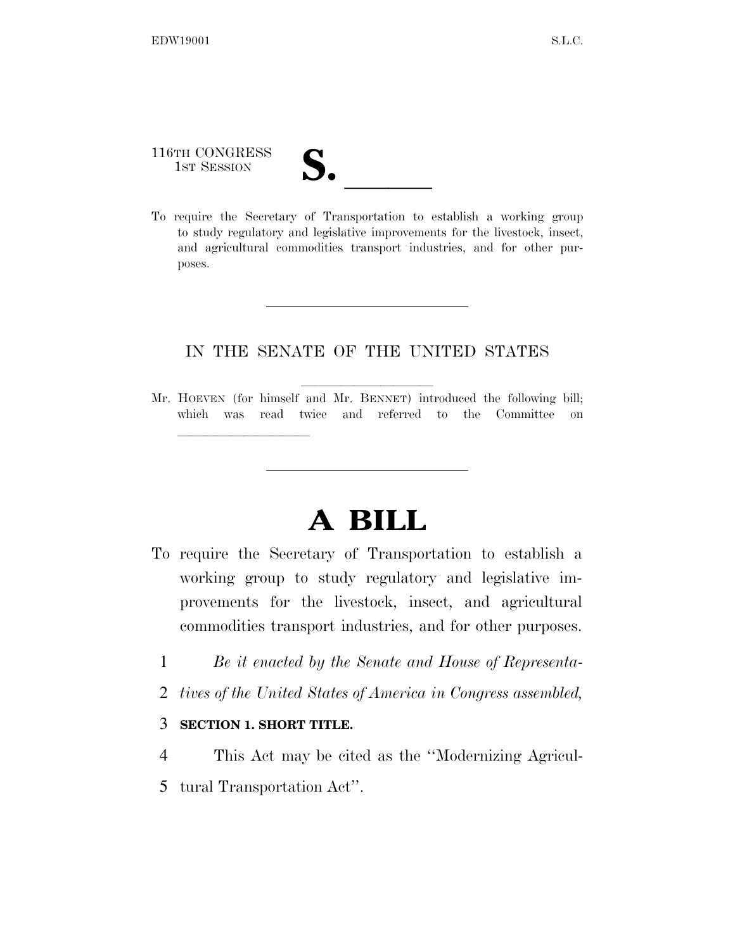## 116TH CONGRESS 116TH CONGRESS<br>
1ST SESSION<br>
To require the Secretary of Transportation to establish a working group

lla se a lla se a lla se a lla se a lla se a lla se a lla se a lla se a lla se a lla se a lla se a lla se a l

to study regulatory and legislative improvements for the livestock, insect, and agricultural commodities transport industries, and for other purposes.

## IN THE SENATE OF THE UNITED STATES

Mr. HOEVEN (for himself and Mr. BENNET) introduced the following bill; which was read twice and referred to the Committee on

## **A BILL**

- To require the Secretary of Transportation to establish a working group to study regulatory and legislative improvements for the livestock, insect, and agricultural commodities transport industries, and for other purposes.
	- 1 *Be it enacted by the Senate and House of Representa-*
	- 2 *tives of the United States of America in Congress assembled,*

## 3 **SECTION 1. SHORT TITLE.**

- 4 This Act may be cited as the ''Modernizing Agricul-
- 5 tural Transportation Act''.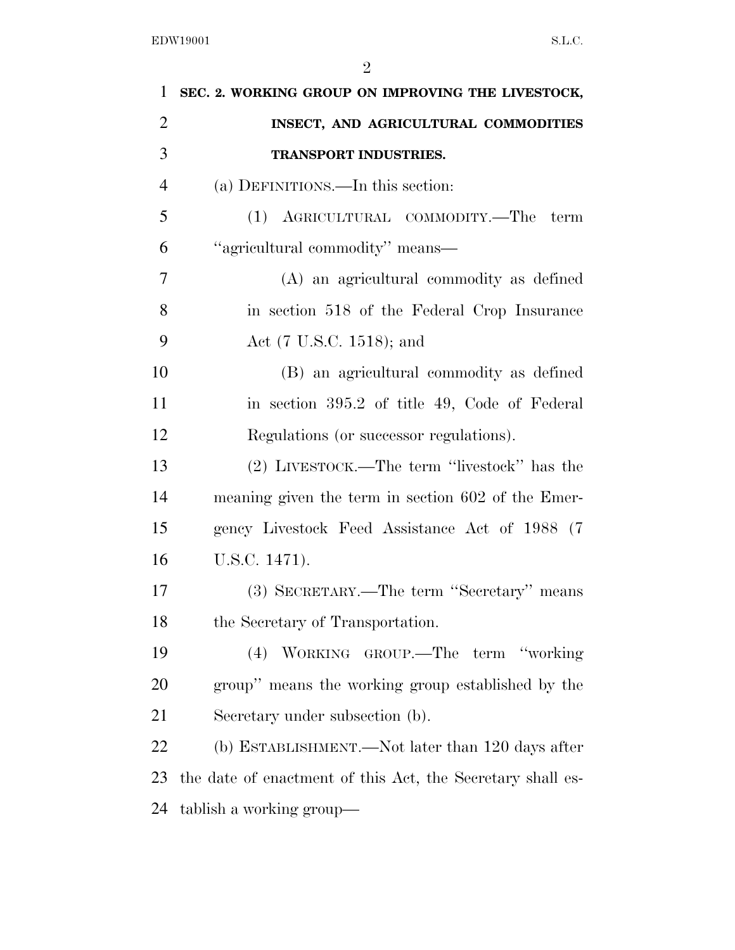| $\mathbf{1}$   | SEC. 2. WORKING GROUP ON IMPROVING THE LIVESTOCK,          |
|----------------|------------------------------------------------------------|
| $\overline{2}$ | INSECT, AND AGRICULTURAL COMMODITIES                       |
| 3              | TRANSPORT INDUSTRIES.                                      |
| $\overline{4}$ | (a) DEFINITIONS.—In this section:                          |
| 5              | (1) AGRICULTURAL COMMODITY.—The<br>term                    |
| 6              | "agricultural commodity" means—                            |
| 7              | (A) an agricultural commodity as defined                   |
| 8              | in section 518 of the Federal Crop Insurance               |
| 9              | Act (7 U.S.C. 1518); and                                   |
| 10             | (B) an agricultural commodity as defined                   |
| 11             | in section 395.2 of title 49, Code of Federal              |
| 12             | Regulations (or successor regulations).                    |
| 13             | (2) LIVESTOCK.—The term "livestock" has the                |
| 14             | meaning given the term in section 602 of the Emer-         |
| 15             | gency Livestock Feed Assistance Act of 1988 (7             |
| 16             | U.S.C. 1471).                                              |
| 17             | (3) SECRETARY.—The term "Secretary" means                  |
| 18             | the Secretary of Transportation.                           |
| 19             | WORKING GROUP.—The term "working"<br>(4)                   |
| 20             | group" means the working group established by the          |
| 21             | Secretary under subsection (b).                            |
| 22             | (b) ESTABLISHMENT.—Not later than 120 days after           |
| 23             | the date of enactment of this Act, the Secretary shall es- |
| 24             | tablish a working group—                                   |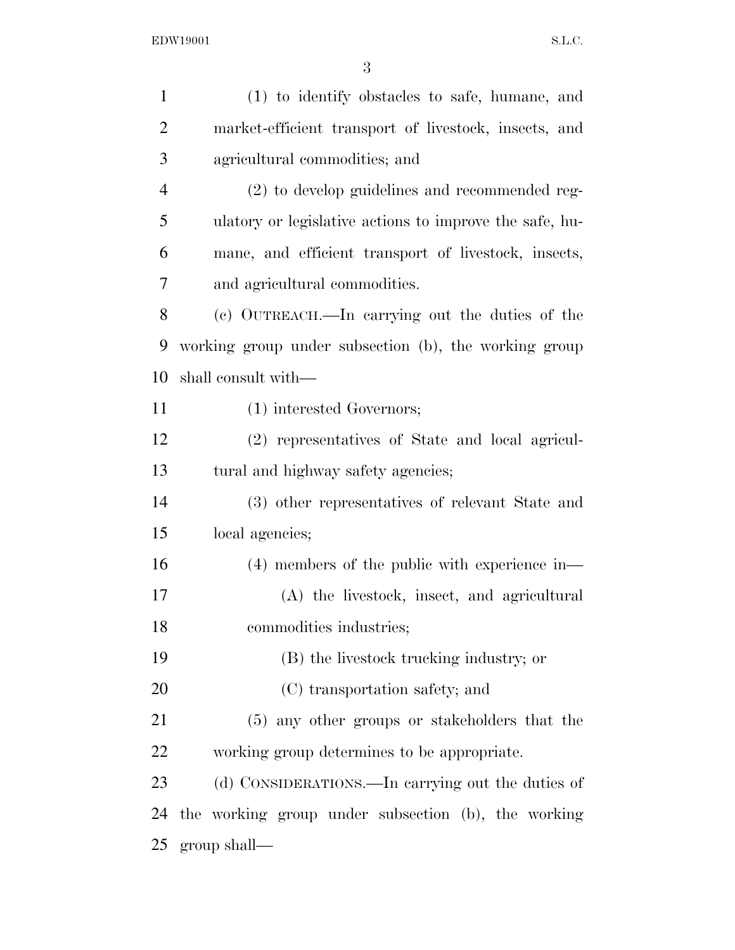| $\mathbf{1}$   | (1) to identify obstacles to safe, humane, and          |
|----------------|---------------------------------------------------------|
| $\overline{2}$ | market-efficient transport of livestock, insects, and   |
| 3              | agricultural commodities; and                           |
| $\overline{4}$ | (2) to develop guidelines and recommended reg-          |
| 5              | ulatory or legislative actions to improve the safe, hu- |
| 6              | mane, and efficient transport of livestock, insects,    |
| 7              | and agricultural commodities.                           |
| 8              | (c) OUTREACH.—In carrying out the duties of the         |
| 9              | working group under subsection (b), the working group   |
| 10             | shall consult with—                                     |
| 11             | (1) interested Governors;                               |
| 12             | (2) representatives of State and local agricul-         |
| 13             | tural and highway safety agencies;                      |
| 14             | (3) other representatives of relevant State and         |
| 15             | local agencies;                                         |
| 16             | $(4)$ members of the public with experience in-         |
| 17             | (A) the livestock, insect, and agricultural             |
| 18             | commodities industries;                                 |
| 19             | (B) the livestock trucking industry; or                 |
| 20             | (C) transportation safety; and                          |
| 21             | (5) any other groups or stakeholders that the           |
| 22             | working group determines to be appropriate.             |
| 23             | (d) CONSIDERATIONS.—In carrying out the duties of       |
| 24             | the working group under subsection (b), the working     |
| 25             | $group shall$ —                                         |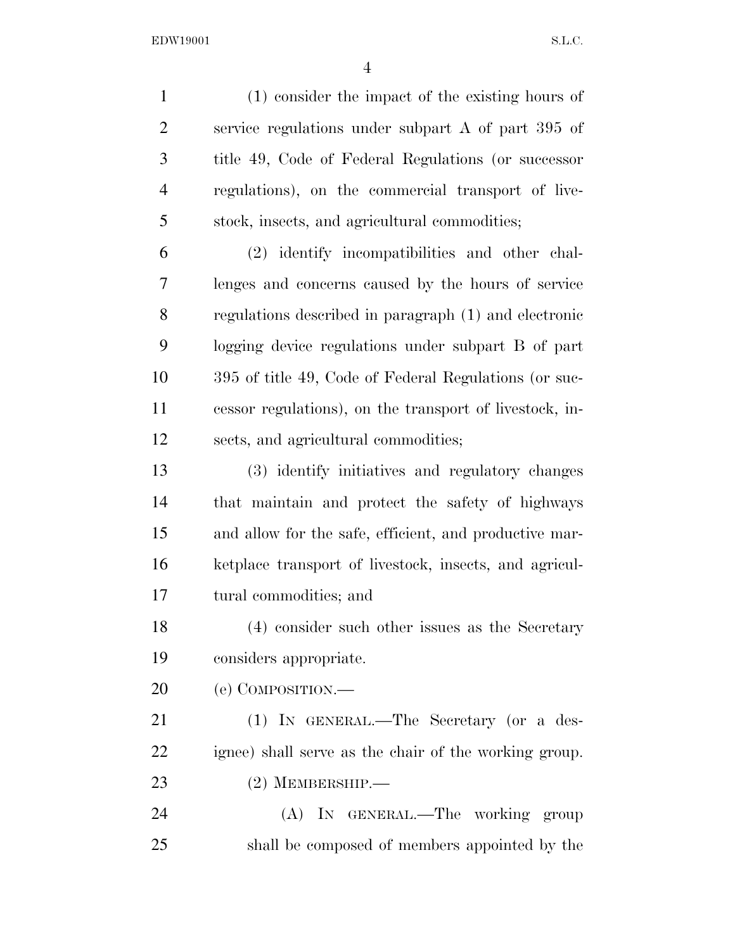EDW19001 S.L.C.

 (1) consider the impact of the existing hours of service regulations under subpart A of part 395 of title 49, Code of Federal Regulations (or successor regulations), on the commercial transport of live- stock, insects, and agricultural commodities; (2) identify incompatibilities and other chal-

 lenges and concerns caused by the hours of service regulations described in paragraph (1) and electronic logging device regulations under subpart B of part 395 of title 49, Code of Federal Regulations (or suc- cessor regulations), on the transport of livestock, in-sects, and agricultural commodities;

 (3) identify initiatives and regulatory changes that maintain and protect the safety of highways and allow for the safe, efficient, and productive mar- ketplace transport of livestock, insects, and agricul-tural commodities; and

 (4) consider such other issues as the Secretary considers appropriate.

(e) COMPOSITION.—

21 (1) IN GENERAL.—The Secretary (or a des- ignee) shall serve as the chair of the working group. (2) MEMBERSHIP.—

 (A) IN GENERAL.—The working group shall be composed of members appointed by the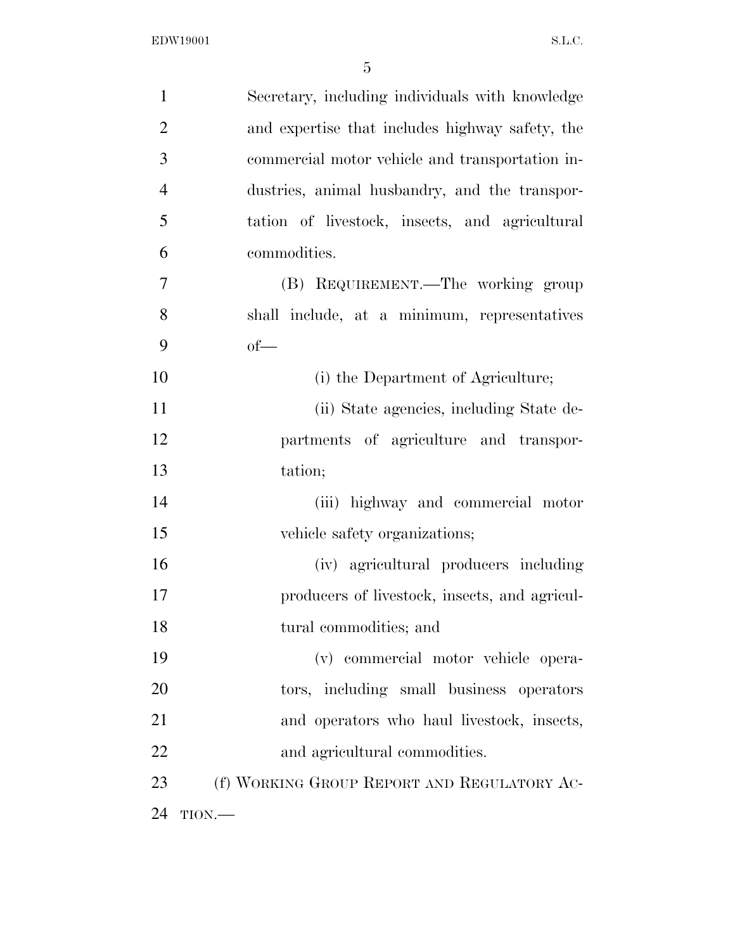| $\mathbf{1}$   | Secretary, including individuals with knowledge |
|----------------|-------------------------------------------------|
| $\overline{2}$ | and expertise that includes highway safety, the |
| 3              | commercial motor vehicle and transportation in- |
| $\overline{4}$ | dustries, animal husbandry, and the transpor-   |
| 5              | tation of livestock, insects, and agricultural  |
| 6              | commodities.                                    |
| $\overline{7}$ | (B) REQUIREMENT.—The working group              |
| 8              | shall include, at a minimum, representatives    |
| 9              | $of$ —                                          |
| 10             | (i) the Department of Agriculture;              |
| 11             | (ii) State agencies, including State de-        |
| 12             | partments of agriculture and transpor-          |
| 13             | tation;                                         |
| 14             | (iii) highway and commercial motor              |
| 15             | vehicle safety organizations;                   |
| 16             | (iv) agricultural producers including           |
| 17             | producers of livestock, insects, and agricul-   |
| 18             | tural commodities; and                          |
| 19             | (v) commercial motor vehicle opera-             |
| 20             | tors, including small business operators        |
| 21             | and operators who haul livestock, insects,      |
| 22             | and agricultural commodities.                   |
| 23             | (f) WORKING GROUP REPORT AND REGULATORY AC-     |
| 24             | TION.                                           |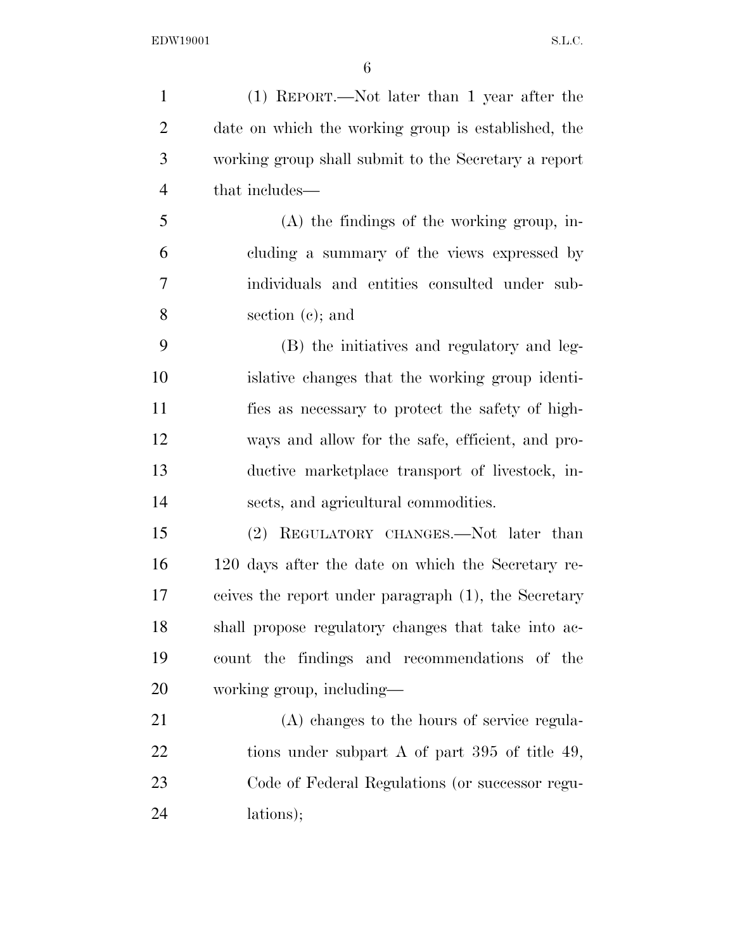(1) REPORT.—Not later than 1 year after the date on which the working group is established, the working group shall submit to the Secretary a report that includes— (A) the findings of the working group, in- cluding a summary of the views expressed by individuals and entities consulted under sub- section (c); and (B) the initiatives and regulatory and leg- islative changes that the working group identi- fies as necessary to protect the safety of high- ways and allow for the safe, efficient, and pro- ductive marketplace transport of livestock, in- sects, and agricultural commodities. (2) REGULATORY CHANGES.—Not later than 120 days after the date on which the Secretary re- ceives the report under paragraph (1), the Secretary shall propose regulatory changes that take into ac- count the findings and recommendations of the working group, including— (A) changes to the hours of service regula-22 tions under subpart A of part 395 of title 49, Code of Federal Regulations (or successor regu-lations);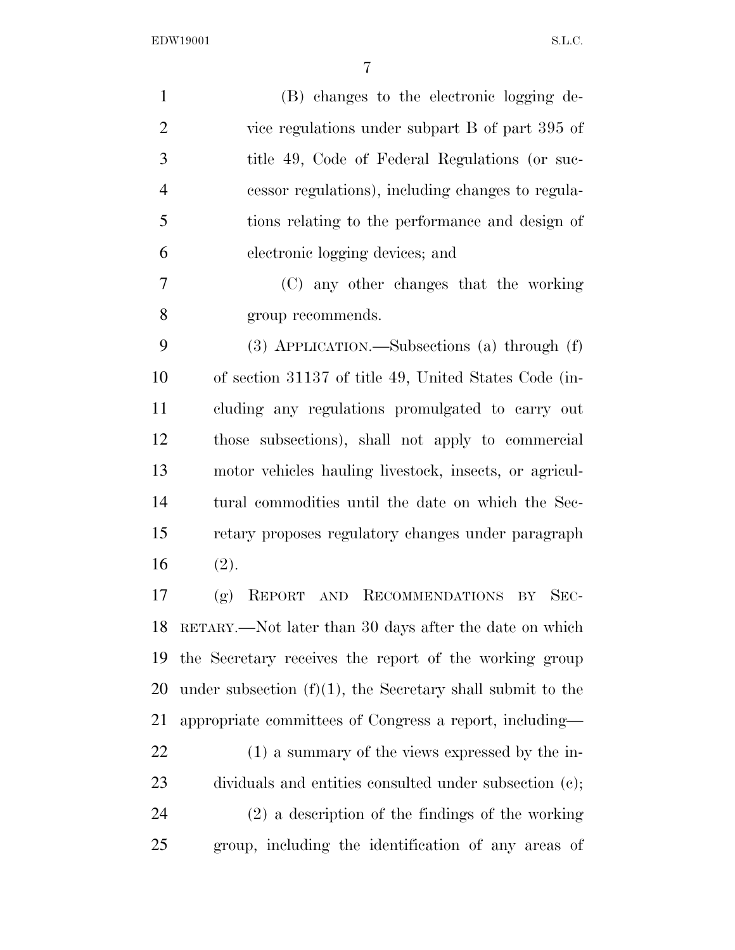EDW19001 S.L.C.

| $\mathbf{1}$   | (B) changes to the electronic logging de-                     |
|----------------|---------------------------------------------------------------|
| $\overline{2}$ | vice regulations under subpart B of part 395 of               |
| 3              | title 49, Code of Federal Regulations (or suc-                |
| $\overline{4}$ | cessor regulations), including changes to regula-             |
| 5              | tions relating to the performance and design of               |
| 6              | electronic logging devices; and                               |
| 7              | (C) any other changes that the working                        |
| 8              | group recommends.                                             |
| 9              | $(3)$ APPLICATION.—Subsections (a) through $(f)$              |
| 10             | of section 31137 of title 49, United States Code (in-         |
| 11             | cluding any regulations promulgated to carry out              |
| 12             | those subsections), shall not apply to commercial             |
| 13             | motor vehicles hauling livestock, insects, or agricul-        |
| 14             | tural commodities until the date on which the Sec-            |
| 15             | retary proposes regulatory changes under paragraph            |
| 16             | (2).                                                          |
| 17             | AND RECOMMENDATIONS BY<br>(g)<br>REPORT<br>$SEC-$             |
| 18             | RETARY.—Not later than 30 days after the date on which        |
| 19             | the Secretary receives the report of the working group        |
| 20             | under subsection $(f)(1)$ , the Secretary shall submit to the |
| 21             | appropriate committees of Congress a report, including—       |
| 22             | $(1)$ a summary of the views expressed by the in-             |
| 23             | dividuals and entities consulted under subsection (c);        |
| 24             | $(2)$ a description of the findings of the working            |
| 25             | group, including the identification of any areas of           |